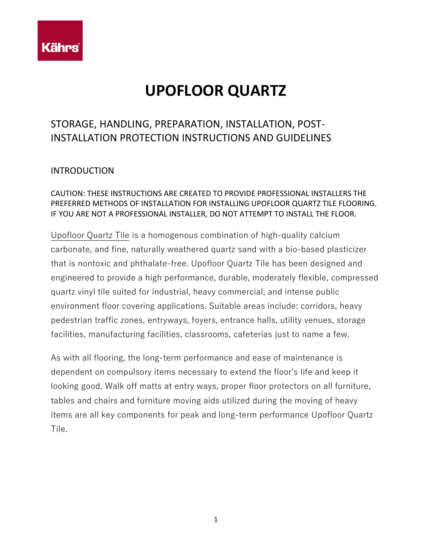

# **UPOFLOOR QUARTZ**

## STORAGE, HANDLING, PREPARATION, INSTALLATION, POST-INSTALLATION PROTECTION INSTRUCTIONS AND GUIDELINES

## **INTRODUCTION**

## CAUTION: THESE INSTRUCTIONS ARE CREATED TO PROVIDE PROFESSIONAL INSTALLERS THE PREFERRED METHODS OF INSTALLATION FOR INSTALLING UPOFLOOR QUARTZ TILE FLOORING. IF YOU ARE NOT A PROFESSIONAL INSTALLER, DO NOT ATTEMPT TO INSTALL THE FLOOR.

Upofloor Quartz Tile is a homogenous combination of high-quality calcium carbonate, and fine, naturally weathered quartz sand with a bio-based plasticizer that is nontoxic and phthalate-free. Upofloor Quartz Tile has been designed and engineered to provide a high performance, durable, moderately flexible, compressed quartz vinyl tile suited for industrial, heavy commercial, and intense public environment floor covering applications. Suitable areas include: corridors, heavy pedestrian traffic zones, entryways, foyers, entrance halls, utility venues, storage facilities, manufacturing facilities, classrooms, cafeterias just to name a few.

As with all flooring, the long-term performance and ease of maintenance is dependent on compulsory items necessary to extend the floor's life and keep it looking good. Walk off matts at entry ways, proper floor protectors on all furniture, tables and chairs and furniture moving aids utilized during the moving of heavy items are all key components for peak and long-term performance Upofloor Quartz Tile.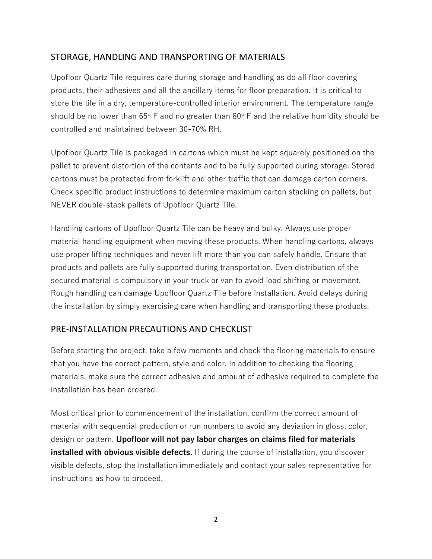## STORAGE, HANDLING AND TRANSPORTING OF MATERIALS

Upofloor Quartz Tile requires care during storage and handling as do all floor covering products, their adhesives and all the ancillary items for floor preparation. It is critical to store the tile in a dry, temperature-controlled interior environment. The temperature range should be no lower than  $65^\circ$  F and no greater than  $80^\circ$  F and the relative humidity should be controlled and maintained between 30-70% RH.

Upofloor Quartz Tile is packaged in cartons which must be kept squarely positioned on the pallet to prevent distortion of the contents and to be fully supported during storage. Stored cartons must be protected from forklift and other traffic that can damage carton corners. Check specific product instructions to determine maximum carton stacking on pallets, but NEVER double-stack pallets of Upofloor Quartz Tile.

Handling cartons of Upofloor Quartz Tile can be heavy and bulky. Always use proper material handling equipment when moving these products. When handling cartons, always use proper lifting techniques and never lift more than you can safely handle. Ensure that products and pallets are fully supported during transportation. Even distribution of the secured material is compulsory in your truck or van to avoid load shifting or movement. Rough handling can damage Upofloor Quartz Tile before installation. Avoid delays during the installation by simply exercising care when handling and transporting these products.

## PRE-INSTALLATION PRECAUTIONS AND CHECKLIST

Before starting the project, take a few moments and check the flooring materials to ensure that you have the correct pattern, style and color. In addition to checking the flooring materials, make sure the correct adhesive and amount of adhesive required to complete the installation has been ordered.

Most critical prior to commencement of the installation, confirm the correct amount of material with sequential production or run numbers to avoid any deviation in gloss, color, design or pattern. **Upofloor will not pay labor charges on claims filed for materials installed with obvious visible defects.** If during the course of installation, you discover visible defects, stop the installation immediately and contact your sales representative for instructions as how to proceed.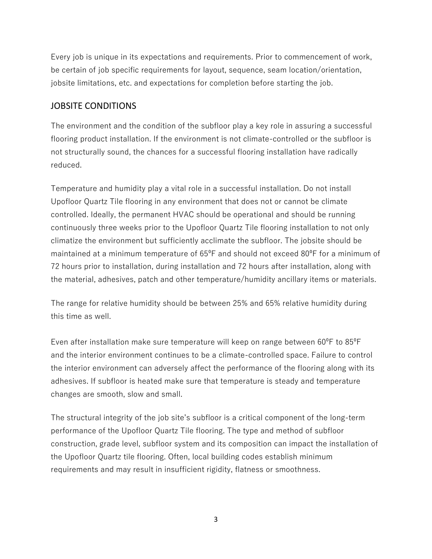Every job is unique in its expectations and requirements. Prior to commencement of work, be certain of job specific requirements for layout, sequence, seam location/orientation, jobsite limitations, etc. and expectations for completion before starting the job.

## JOBSITE CONDITIONS

The environment and the condition of the subfloor play a key role in assuring a successful flooring product installation. If the environment is not climate-controlled or the subfloor is not structurally sound, the chances for a successful flooring installation have radically reduced.

Temperature and humidity play a vital role in a successful installation. Do not install Upofloor Quartz Tile flooring in any environment that does not or cannot be climate controlled. Ideally, the permanent HVAC should be operational and should be running continuously three weeks prior to the Upofloor Quartz Tile flooring installation to not only climatize the environment but sufficiently acclimate the subfloor. The jobsite should be maintained at a minimum temperature of 65<sup>o</sup>F and should not exceed 80<sup>o</sup>F for a minimum of 72 hours prior to installation, during installation and 72 hours after installation, along with the material, adhesives, patch and other temperature/humidity ancillary items or materials.

The range for relative humidity should be between 25% and 65% relative humidity during this time as well.

Even after installation make sure temperature will keep on range between 60<sup>o</sup>F to 85<sup>o</sup>F and the interior environment continues to be a climate-controlled space. Failure to control the interior environment can adversely affect the performance of the flooring along with its adhesives. If subfloor is heated make sure that temperature is steady and temperature changes are smooth, slow and small.

The structural integrity of the job site's subfloor is a critical component of the long-term performance of the Upofloor Quartz Tile flooring. The type and method of subfloor construction, grade level, subfloor system and its composition can impact the installation of the Upofloor Quartz tile flooring. Often, local building codes establish minimum requirements and may result in insufficient rigidity, flatness or smoothness.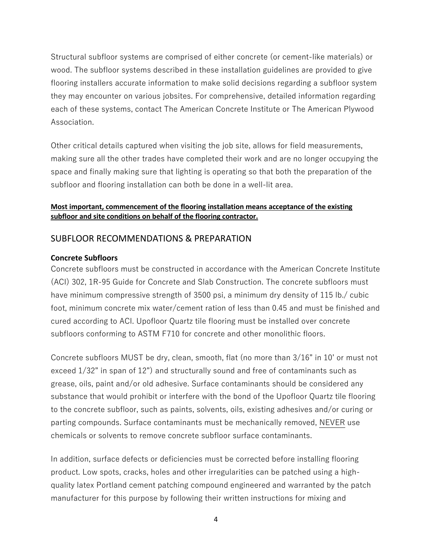Structural subfloor systems are comprised of either concrete (or cement-like materials) or wood. The subfloor systems described in these installation guidelines are provided to give flooring installers accurate information to make solid decisions regarding a subfloor system they may encounter on various jobsites. For comprehensive, detailed information regarding each of these systems, contact The American Concrete Institute or The American Plywood Association.

Other critical details captured when visiting the job site, allows for field measurements, making sure all the other trades have completed their work and are no longer occupying the space and finally making sure that lighting is operating so that both the preparation of the subfloor and flooring installation can both be done in a well-lit area.

#### **Most important, commencement of the flooring installation means acceptance of the existing subfloor and site conditions on behalf of the flooring contractor.**

## SUBFLOOR RECOMMENDATIONS & PREPARATION

#### **Concrete Subfloors**

Concrete subfloors must be constructed in accordance with the American Concrete Institute (ACI) 302, 1R-95 Guide for Concrete and Slab Construction. The concrete subfloors must have minimum compressive strength of 3500 psi, a minimum dry density of 115 lb./ cubic foot, minimum concrete mix water/cement ration of less than 0.45 and must be finished and cured according to ACI. Upofloor Quartz tile flooring must be installed over concrete subfloors conforming to ASTM F710 for concrete and other monolithic floors.

Concrete subfloors MUST be dry, clean, smooth, flat (no more than 3/16" in 10' or must not exceed 1/32" in span of 12") and structurally sound and free of contaminants such as grease, oils, paint and/or old adhesive. Surface contaminants should be considered any substance that would prohibit or interfere with the bond of the Upofloor Quartz tile flooring to the concrete subfloor, such as paints, solvents, oils, existing adhesives and/or curing or parting compounds. Surface contaminants must be mechanically removed, NEVER use chemicals or solvents to remove concrete subfloor surface contaminants.

In addition, surface defects or deficiencies must be corrected before installing flooring product. Low spots, cracks, holes and other irregularities can be patched using a highquality latex Portland cement patching compound engineered and warranted by the patch manufacturer for this purpose by following their written instructions for mixing and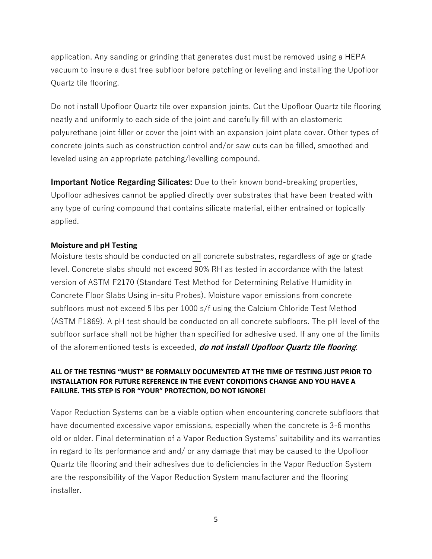application. Any sanding or grinding that generates dust must be removed using a HEPA vacuum to insure a dust free subfloor before patching or leveling and installing the Upofloor Quartz tile flooring.

Do not install Upofloor Quartz tile over expansion joints. Cut the Upofloor Quartz tile flooring neatly and uniformly to each side of the joint and carefully fill with an elastomeric polyurethane joint filler or cover the joint with an expansion joint plate cover. Other types of concrete joints such as construction control and/or saw cuts can be filled, smoothed and leveled using an appropriate patching/levelling compound.

**Important Notice Regarding Silicates:** Due to their known bond-breaking properties, Upofloor adhesives cannot be applied directly over substrates that have been treated with any type of curing compound that contains silicate material, either entrained or topically applied.

#### **Moisture and pH Testing**

Moisture tests should be conducted on all concrete substrates, regardless of age or grade level. Concrete slabs should not exceed 90% RH as tested in accordance with the latest version of ASTM F2170 (Standard Test Method for Determining Relative Humidity in Concrete Floor Slabs Using in-situ Probes). Moisture vapor emissions from concrete subfloors must not exceed 5 lbs per 1000 s/f using the Calcium Chloride Test Method (ASTM F1869). A pH test should be conducted on all concrete subfloors. The pH level of the subfloor surface shall not be higher than specified for adhesive used. If any one of the limits of the aforementioned tests is exceeded, **do not install Upofloor Quartz tile flooring**.

#### **ALL OF THE TESTING "MUST" BE FORMALLY DOCUMENTED AT THE TIME OF TESTING JUST PRIOR TO INSTALLATION FOR FUTURE REFERENCE IN THE EVENT CONDITIONS CHANGE AND YOU HAVE A FAILURE. THIS STEP IS FOR "YOUR" PROTECTION, DO NOT IGNORE!**

Vapor Reduction Systems can be a viable option when encountering concrete subfloors that have documented excessive vapor emissions, especially when the concrete is 3-6 months old or older. Final determination of a Vapor Reduction Systems' suitability and its warranties in regard to its performance and and/ or any damage that may be caused to the Upofloor Quartz tile flooring and their adhesives due to deficiencies in the Vapor Reduction System are the responsibility of the Vapor Reduction System manufacturer and the flooring installer.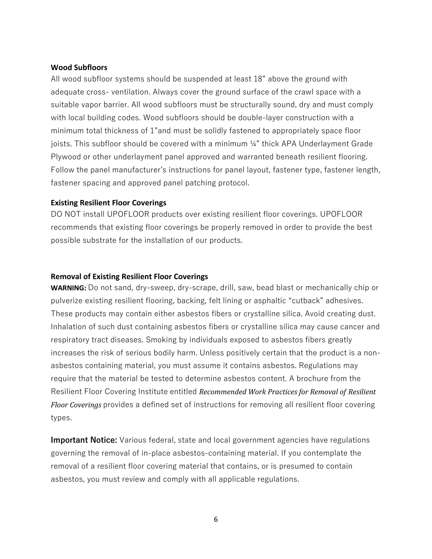#### **Wood Subfloors**

All wood subfloor systems should be suspended at least 18" above the ground with adequate cross- ventilation. Always cover the ground surface of the crawl space with a suitable vapor barrier. All wood subfloors must be structurally sound, dry and must comply with local building codes. Wood subfloors should be double-layer construction with a minimum total thickness of 1"and must be solidly fastened to appropriately space floor joists. This subfloor should be covered with a minimum ¼" thick APA Underlayment Grade Plywood or other underlayment panel approved and warranted beneath resilient flooring. Follow the panel manufacturer's instructions for panel layout, fastener type, fastener length, fastener spacing and approved panel patching protocol.

#### **Existing Resilient Floor Coverings**

DO NOT install UPOFLOOR products over existing resilient floor coverings. UPOFLOOR recommends that existing floor coverings be properly removed in order to provide the best possible substrate for the installation of our products.

#### **Removal of Existing Resilient Floor Coverings**

**WARNING:** Do not sand, dry-sweep, dry-scrape, drill, saw, bead blast or mechanically chip or pulverize existing resilient flooring, backing, felt lining or asphaltic "cutback" adhesives. These products may contain either asbestos fibers or crystalline silica. Avoid creating dust. Inhalation of such dust containing asbestos fibers or crystalline silica may cause cancer and respiratory tract diseases. Smoking by individuals exposed to asbestos fibers greatly increases the risk of serious bodily harm. Unless positively certain that the product is a nonasbestos containing material, you must assume it contains asbestos. Regulations may require that the material be tested to determine asbestos content. A brochure from the Resilient Floor Covering Institute entitled *Recommended Work Practices for Removal of Resilient Floor Coverings* provides a defined set of instructions for removing all resilient floor covering types.

**Important Notice:** Various federal, state and local government agencies have regulations governing the removal of in-place asbestos-containing material. If you contemplate the removal of a resilient floor covering material that contains, or is presumed to contain asbestos, you must review and comply with all applicable regulations.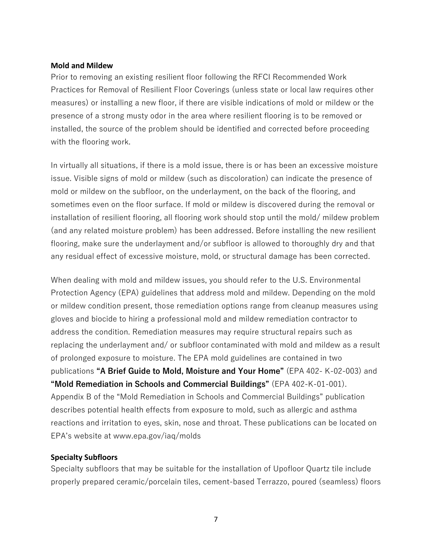#### **Mold and Mildew**

Prior to removing an existing resilient floor following the RFCI Recommended Work Practices for Removal of Resilient Floor Coverings (unless state or local law requires other measures) or installing a new floor, if there are visible indications of mold or mildew or the presence of a strong musty odor in the area where resilient flooring is to be removed or installed, the source of the problem should be identified and corrected before proceeding with the flooring work.

In virtually all situations, if there is a mold issue, there is or has been an excessive moisture issue. Visible signs of mold or mildew (such as discoloration) can indicate the presence of mold or mildew on the subfloor, on the underlayment, on the back of the flooring, and sometimes even on the floor surface. If mold or mildew is discovered during the removal or installation of resilient flooring, all flooring work should stop until the mold/ mildew problem (and any related moisture problem) has been addressed. Before installing the new resilient flooring, make sure the underlayment and/or subfloor is allowed to thoroughly dry and that any residual effect of excessive moisture, mold, or structural damage has been corrected.

When dealing with mold and mildew issues, you should refer to the U.S. Environmental Protection Agency (EPA) guidelines that address mold and mildew. Depending on the mold or mildew condition present, those remediation options range from cleanup measures using gloves and biocide to hiring a professional mold and mildew remediation contractor to address the condition. Remediation measures may require structural repairs such as replacing the underlayment and/ or subfloor contaminated with mold and mildew as a result of prolonged exposure to moisture. The EPA mold guidelines are contained in two publications **"A Brief Guide to Mold, Moisture and Your Home"** (EPA 402- K-02-003) and **"Mold Remediation in Schools and Commercial Buildings"** (EPA 402-K-01-001). Appendix B of the "Mold Remediation in Schools and Commercial Buildings" publication describes potential health effects from exposure to mold, such as allergic and asthma reactions and irritation to eyes, skin, nose and throat. These publications can be located on EPA's website at www.epa.gov/iaq/molds

#### **Specialty Subfloors**

Specialty subfloors that may be suitable for the installation of Upofloor Quartz tile include properly prepared ceramic/porcelain tiles, cement-based Terrazzo, poured (seamless) floors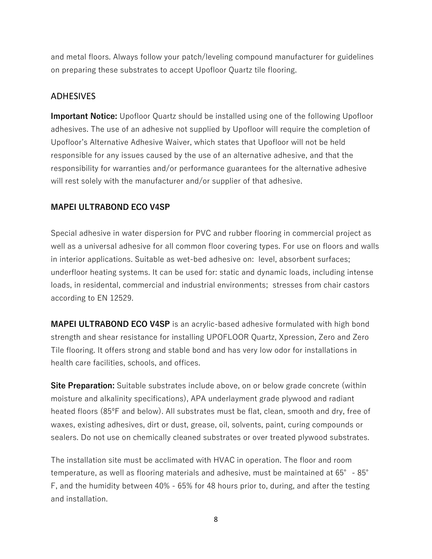and metal floors. Always follow your patch/leveling compound manufacturer for guidelines on preparing these substrates to accept Upofloor Quartz tile flooring.

## ADHESIVES

**Important Notice:** Upofloor Quartz should be installed using one of the following Upofloor adhesives. The use of an adhesive not supplied by Upofloor will require the completion of Upofloor's Alternative Adhesive Waiver, which states that Upofloor will not be held responsible for any issues caused by the use of an alternative adhesive, and that the responsibility for warranties and/or performance guarantees for the alternative adhesive will rest solely with the manufacturer and/or supplier of that adhesive.

#### **MAPEI ULTRABOND ECO V4SP**

Special adhesive in water dispersion for PVC and rubber flooring in commercial project as well as a universal adhesive for all common floor covering types. For use on floors and walls in interior applications. Suitable as wet-bed adhesive on: level, absorbent surfaces; underfloor heating systems. It can be used for: static and dynamic loads, including intense loads, in residental, commercial and industrial environments; stresses from chair castors according to EN 12529.

**MAPEI ULTRABOND ECO V4SP** is an acrylic-based adhesive formulated with high bond strength and shear resistance for installing UPOFLOOR Quartz, Xpression, Zero and Zero Tile flooring. It offers strong and stable bond and has very low odor for installations in health care facilities, schools, and offices.

**Site Preparation:** Suitable substrates include above, on or below grade concrete (within moisture and alkalinity specifications), APA underlayment grade plywood and radiant heated floors (85ºF and below). All substrates must be flat, clean, smooth and dry, free of waxes, existing adhesives, dirt or dust, grease, oil, solvents, paint, curing compounds or sealers. Do not use on chemically cleaned substrates or over treated plywood substrates.

The installation site must be acclimated with HVAC in operation. The floor and room temperature, as well as flooring materials and adhesive, must be maintained at 65°- 85° F, and the humidity between 40% - 65% for 48 hours prior to, during, and after the testing and installation.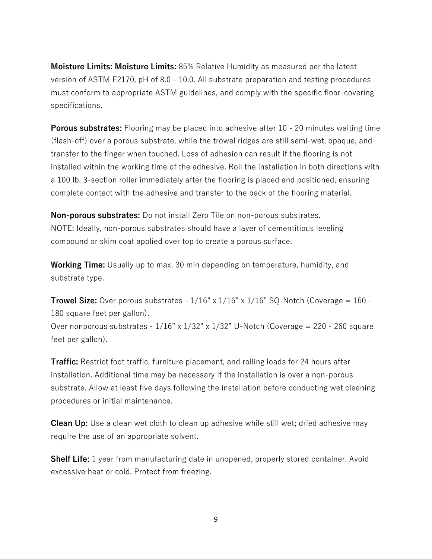**Moisture Limits: Moisture Limits:** 85% Relative Humidity as measured per the latest version of ASTM F2170, pH of 8.0 - 10.0. All substrate preparation and testing procedures must conform to appropriate ASTM guidelines, and comply with the specific floor-covering specifications.

**Porous substrates:** Flooring may be placed into adhesive after 10 - 20 minutes waiting time (flash-off) over a porous substrate, while the trowel ridges are still semi-wet, opaque, and transfer to the finger when touched. Loss of adhesion can result if the flooring is not installed within the working time of the adhesive. Roll the installation in both directions with a 100 lb. 3-section roller immediately after the flooring is placed and positioned, ensuring complete contact with the adhesive and transfer to the back of the flooring material.

**Non-porous substrates:** Do not install Zero Tile on non-porous substrates. NOTE: Ideally, non-porous substrates should have a layer of cementitious leveling compound or skim coat applied over top to create a porous surface.

**Working Time:** Usually up to max. 30 min depending on temperature, humidity, and substrate type.

**Trowel Size:** Over porous substrates -  $1/16$ " x  $1/16$ " x  $1/16$ " SQ-Notch (Coverage = 160 -180 square feet per gallon).

Over nonporous substrates -  $1/16$ " x  $1/32$ " x  $1/32$ " U-Notch (Coverage = 220 - 260 square feet per gallon).

**Traffic:** Restrict foot traffic, furniture placement, and rolling loads for 24 hours after installation. Additional time may be necessary if the installation is over a non-porous substrate. Allow at least five days following the installation before conducting wet cleaning procedures or initial maintenance.

**Clean Up:** Use a clean wet cloth to clean up adhesive while still wet; dried adhesive may require the use of an appropriate solvent.

**Shelf Life:** 1 year from manufacturing date in unopened, properly stored container. Avoid excessive heat or cold. Protect from freezing.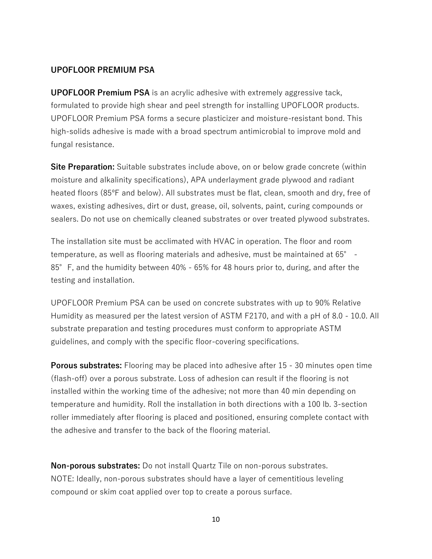#### **UPOFLOOR PREMIUM PSA**

**UPOFLOOR Premium PSA** is an acrylic adhesive with extremely aggressive tack, formulated to provide high shear and peel strength for installing UPOFLOOR products. UPOFLOOR Premium PSA forms a secure plasticizer and moisture-resistant bond. This high-solids adhesive is made with a broad spectrum antimicrobial to improve mold and fungal resistance.

**Site Preparation:** Suitable substrates include above, on or below grade concrete (within moisture and alkalinity specifications), APA underlayment grade plywood and radiant heated floors (85ºF and below). All substrates must be flat, clean, smooth and dry, free of waxes, existing adhesives, dirt or dust, grease, oil, solvents, paint, curing compounds or sealers. Do not use on chemically cleaned substrates or over treated plywood substrates.

The installation site must be acclimated with HVAC in operation. The floor and room temperature, as well as flooring materials and adhesive, must be maintained at 65° - 85°F, and the humidity between 40% - 65% for 48 hours prior to, during, and after the testing and installation.

UPOFLOOR Premium PSA can be used on concrete substrates with up to 90% Relative Humidity as measured per the latest version of ASTM F2170, and with a pH of 8.0 - 10.0. All substrate preparation and testing procedures must conform to appropriate ASTM guidelines, and comply with the specific floor-covering specifications.

**Porous substrates:** Flooring may be placed into adhesive after 15 - 30 minutes open time (flash-off) over a porous substrate. Loss of adhesion can result if the flooring is not installed within the working time of the adhesive; not more than 40 min depending on temperature and humidity. Roll the installation in both directions with a 100 lb. 3-section roller immediately after flooring is placed and positioned, ensuring complete contact with the adhesive and transfer to the back of the flooring material.

**Non-porous substrates:** Do not install Quartz Tile on non-porous substrates. NOTE: Ideally, non-porous substrates should have a layer of cementitious leveling compound or skim coat applied over top to create a porous surface.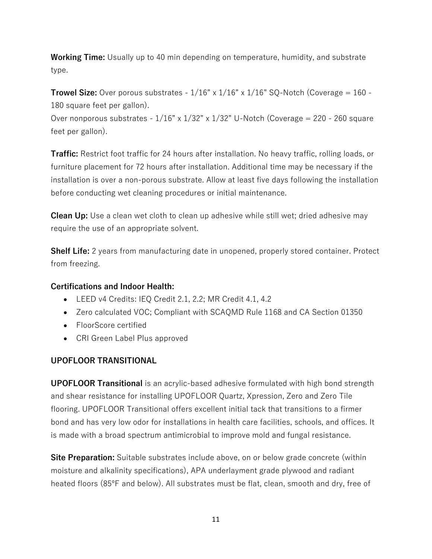**Working Time:** Usually up to 40 min depending on temperature, humidity, and substrate type.

**Trowel Size:** Over porous substrates -  $1/16$ " x  $1/16$ " x  $1/16$ " SQ-Notch (Coverage =  $160$  -180 square feet per gallon).

Over nonporous substrates -  $1/16$ " x  $1/32$ " x  $1/32$ " U-Notch (Coverage = 220 - 260 square feet per gallon).

**Traffic:** Restrict foot traffic for 24 hours after installation. No heavy traffic, rolling loads, or furniture placement for 72 hours after installation. Additional time may be necessary if the installation is over a non-porous substrate. Allow at least five days following the installation before conducting wet cleaning procedures or initial maintenance.

**Clean Up:** Use a clean wet cloth to clean up adhesive while still wet; dried adhesive may require the use of an appropriate solvent.

**Shelf Life:** 2 years from manufacturing date in unopened, properly stored container. Protect from freezing.

## **Certifications and Indoor Health:**

- LEED v4 Credits: IEQ Credit 2.1, 2.2; MR Credit 4.1, 4.2
- Zero calculated VOC; Compliant with SCAQMD Rule 1168 and CA Section 01350
- FloorScore certified
- CRI Green Label Plus approved

## **UPOFLOOR TRANSITIONAL**

**UPOFLOOR Transitional** is an acrylic-based adhesive formulated with high bond strength and shear resistance for installing UPOFLOOR Quartz, Xpression, Zero and Zero Tile flooring. UPOFLOOR Transitional offers excellent initial tack that transitions to a firmer bond and has very low odor for installations in health care facilities, schools, and offices. It is made with a broad spectrum antimicrobial to improve mold and fungal resistance.

**Site Preparation:** Suitable substrates include above, on or below grade concrete (within moisture and alkalinity specifications), APA underlayment grade plywood and radiant heated floors (85ºF and below). All substrates must be flat, clean, smooth and dry, free of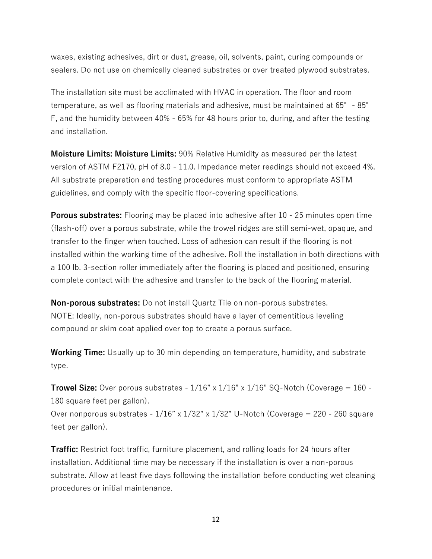waxes, existing adhesives, dirt or dust, grease, oil, solvents, paint, curing compounds or sealers. Do not use on chemically cleaned substrates or over treated plywood substrates.

The installation site must be acclimated with HVAC in operation. The floor and room temperature, as well as flooring materials and adhesive, must be maintained at 65°- 85° F, and the humidity between 40% - 65% for 48 hours prior to, during, and after the testing and installation.

**Moisture Limits: Moisture Limits:** 90% Relative Humidity as measured per the latest version of ASTM F2170, pH of 8.0 - 11.0. Impedance meter readings should not exceed 4%. All substrate preparation and testing procedures must conform to appropriate ASTM guidelines, and comply with the specific floor-covering specifications.

**Porous substrates:** Flooring may be placed into adhesive after 10 - 25 minutes open time (flash-off) over a porous substrate, while the trowel ridges are still semi-wet, opaque, and transfer to the finger when touched. Loss of adhesion can result if the flooring is not installed within the working time of the adhesive. Roll the installation in both directions with a 100 lb. 3-section roller immediately after the flooring is placed and positioned, ensuring complete contact with the adhesive and transfer to the back of the flooring material.

**Non-porous substrates:** Do not install Quartz Tile on non-porous substrates. NOTE: Ideally, non-porous substrates should have a layer of cementitious leveling compound or skim coat applied over top to create a porous surface.

**Working Time:** Usually up to 30 min depending on temperature, humidity, and substrate type.

**Trowel Size:** Over porous substrates  $-1/16" \times 1/16" \times 1/16"$  SQ-Notch (Coverage = 160 -180 square feet per gallon).

Over nonporous substrates -  $1/16$ " x  $1/32$ " x  $1/32$ " U-Notch (Coverage = 220 - 260 square feet per gallon).

**Traffic:** Restrict foot traffic, furniture placement, and rolling loads for 24 hours after installation. Additional time may be necessary if the installation is over a non-porous substrate. Allow at least five days following the installation before conducting wet cleaning procedures or initial maintenance.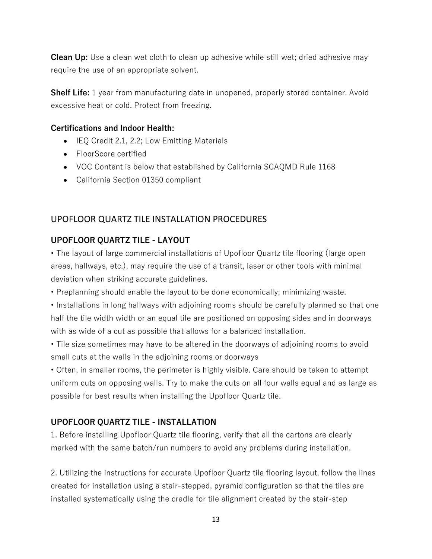**Clean Up:** Use a clean wet cloth to clean up adhesive while still wet; dried adhesive may require the use of an appropriate solvent.

**Shelf Life:** 1 year from manufacturing date in unopened, properly stored container. Avoid excessive heat or cold. Protect from freezing.

#### **Certifications and Indoor Health:**

- IEQ Credit 2.1, 2.2; Low Emitting Materials
- FloorScore certified
- VOC Content is below that established by California SCAQMD Rule 1168
- California Section 01350 compliant

## UPOFLOOR QUARTZ TILE INSTALLATION PROCEDURES

## **UPOFLOOR QUARTZ TILE - LAYOUT**

• The layout of large commercial installations of Upofloor Quartz tile flooring (large open areas, hallways, etc.), may require the use of a transit, laser or other tools with minimal deviation when striking accurate guidelines.

• Preplanning should enable the layout to be done economically; minimizing waste.

• Installations in long hallways with adjoining rooms should be carefully planned so that one half the tile width width or an equal tile are positioned on opposing sides and in doorways with as wide of a cut as possible that allows for a balanced installation.

• Tile size sometimes may have to be altered in the doorways of adjoining rooms to avoid small cuts at the walls in the adjoining rooms or doorways

• Often, in smaller rooms, the perimeter is highly visible. Care should be taken to attempt uniform cuts on opposing walls. Try to make the cuts on all four walls equal and as large as possible for best results when installing the Upofloor Quartz tile.

## **UPOFLOOR QUARTZ TILE - INSTALLATION**

1. Before installing Upofloor Quartz tile flooring, verify that all the cartons are clearly marked with the same batch/run numbers to avoid any problems during installation.

2. Utilizing the instructions for accurate Upofloor Quartz tile flooring layout, follow the lines created for installation using a stair-stepped, pyramid configuration so that the tiles are installed systematically using the cradle for tile alignment created by the stair-step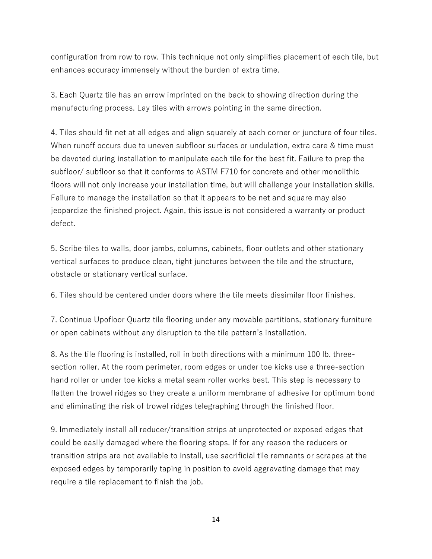configuration from row to row. This technique not only simplifies placement of each tile, but enhances accuracy immensely without the burden of extra time.

3. Each Quartz tile has an arrow imprinted on the back to showing direction during the manufacturing process. Lay tiles with arrows pointing in the same direction.

4. Tiles should fit net at all edges and align squarely at each corner or juncture of four tiles. When runoff occurs due to uneven subfloor surfaces or undulation, extra care & time must be devoted during installation to manipulate each tile for the best fit. Failure to prep the subfloor/ subfloor so that it conforms to ASTM F710 for concrete and other monolithic floors will not only increase your installation time, but will challenge your installation skills. Failure to manage the installation so that it appears to be net and square may also jeopardize the finished project. Again, this issue is not considered a warranty or product defect.

5. Scribe tiles to walls, door jambs, columns, cabinets, floor outlets and other stationary vertical surfaces to produce clean, tight junctures between the tile and the structure, obstacle or stationary vertical surface.

6. Tiles should be centered under doors where the tile meets dissimilar floor finishes.

7. Continue Upofloor Quartz tile flooring under any movable partitions, stationary furniture or open cabinets without any disruption to the tile pattern's installation.

8. As the tile flooring is installed, roll in both directions with a minimum 100 lb. threesection roller. At the room perimeter, room edges or under toe kicks use a three-section hand roller or under toe kicks a metal seam roller works best. This step is necessary to flatten the trowel ridges so they create a uniform membrane of adhesive for optimum bond and eliminating the risk of trowel ridges telegraphing through the finished floor.

9. Immediately install all reducer/transition strips at unprotected or exposed edges that could be easily damaged where the flooring stops. If for any reason the reducers or transition strips are not available to install, use sacrificial tile remnants or scrapes at the exposed edges by temporarily taping in position to avoid aggravating damage that may require a tile replacement to finish the job.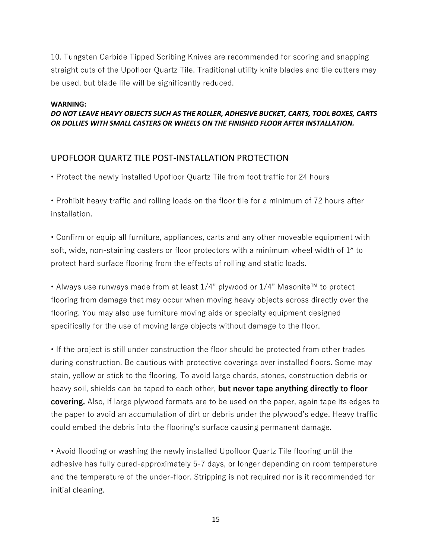10. Tungsten Carbide Tipped Scribing Knives are recommended for scoring and snapping straight cuts of the Upofloor Quartz Tile. Traditional utility knife blades and tile cutters may be used, but blade life will be significantly reduced.

#### **WARNING:**

#### *DO NOT LEAVE HEAVY OBJECTS SUCH AS THE ROLLER, ADHESIVE BUCKET, CARTS, TOOL BOXES, CARTS OR DOLLIES WITH SMALL CASTERS OR WHEELS ON THE FINISHED FLOOR AFTER INSTALLATION.*

## UPOFLOOR QUARTZ TILE POST-INSTALLATION PROTECTION

• Protect the newly installed Upofloor Quartz Tile from foot traffic for 24 hours

• Prohibit heavy traffic and rolling loads on the floor tile for a minimum of 72 hours after installation.

• Confirm or equip all furniture, appliances, carts and any other moveable equipment with soft, wide, non-staining casters or floor protectors with a minimum wheel width of 1" to protect hard surface flooring from the effects of rolling and static loads.

• Always use runways made from at least 1/4" plywood or 1/4" Masonite™ to protect flooring from damage that may occur when moving heavy objects across directly over the flooring. You may also use furniture moving aids or specialty equipment designed specifically for the use of moving large objects without damage to the floor.

• If the project is still under construction the floor should be protected from other trades during construction. Be cautious with protective coverings over installed floors. Some may stain, yellow or stick to the flooring. To avoid large chards, stones, construction debris or heavy soil, shields can be taped to each other, **but never tape anything directly to floor covering.** Also, if large plywood formats are to be used on the paper, again tape its edges to the paper to avoid an accumulation of dirt or debris under the plywood's edge. Heavy traffic could embed the debris into the flooring's surface causing permanent damage.

• Avoid flooding or washing the newly installed Upofloor Quartz Tile flooring until the adhesive has fully cured-approximately 5-7 days, or longer depending on room temperature and the temperature of the under-floor. Stripping is not required nor is it recommended for initial cleaning.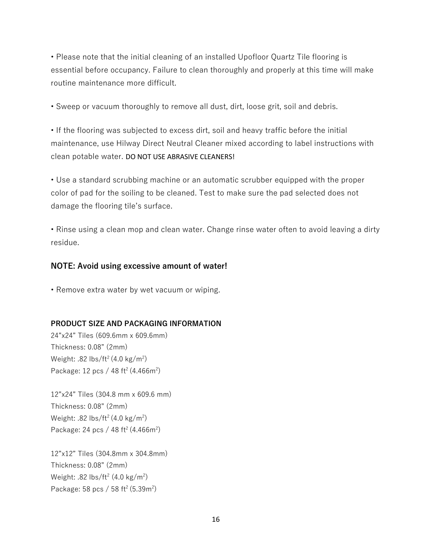• Please note that the initial cleaning of an installed Upofloor Quartz Tile flooring is essential before occupancy. Failure to clean thoroughly and properly at this time will make routine maintenance more difficult.

• Sweep or vacuum thoroughly to remove all dust, dirt, loose grit, soil and debris.

• If the flooring was subjected to excess dirt, soil and heavy traffic before the initial maintenance, use Hilway Direct Neutral Cleaner mixed according to label instructions with clean potable water. DO NOT USE ABRASIVE CLEANERS!

• Use a standard scrubbing machine or an automatic scrubber equipped with the proper color of pad for the soiling to be cleaned. Test to make sure the pad selected does not damage the flooring tile's surface.

• Rinse using a clean mop and clean water. Change rinse water often to avoid leaving a dirty residue.

#### **NOTE: Avoid using excessive amount of water!**

• Remove extra water by wet vacuum or wiping.

#### **PRODUCT SIZE AND PACKAGING INFORMATION**

24"x24" Tiles (609.6mm x 609.6mm) Thickness: 0.08" (2mm) Weight: .82 lbs/ft<sup>2</sup> (4.0 kg/m<sup>2</sup>) Package: 12 pcs / 48 ft<sup>2</sup> (4.466m<sup>2</sup>)

12"x24" Tiles (304.8 mm x 609.6 mm) Thickness: 0.08" (2mm) Weight: .82 lbs/ft<sup>2</sup> (4.0 kg/m<sup>2</sup>) Package: 24 pcs / 48 ft<sup>2</sup> (4.466m<sup>2</sup>)

12"x12" Tiles (304.8mm x 304.8mm) Thickness: 0.08" (2mm) Weight: .82 lbs/ft<sup>2</sup> (4.0 kg/m<sup>2</sup>) Package: 58 pcs / 58 ft<sup>2</sup> (5.39m<sup>2</sup>)